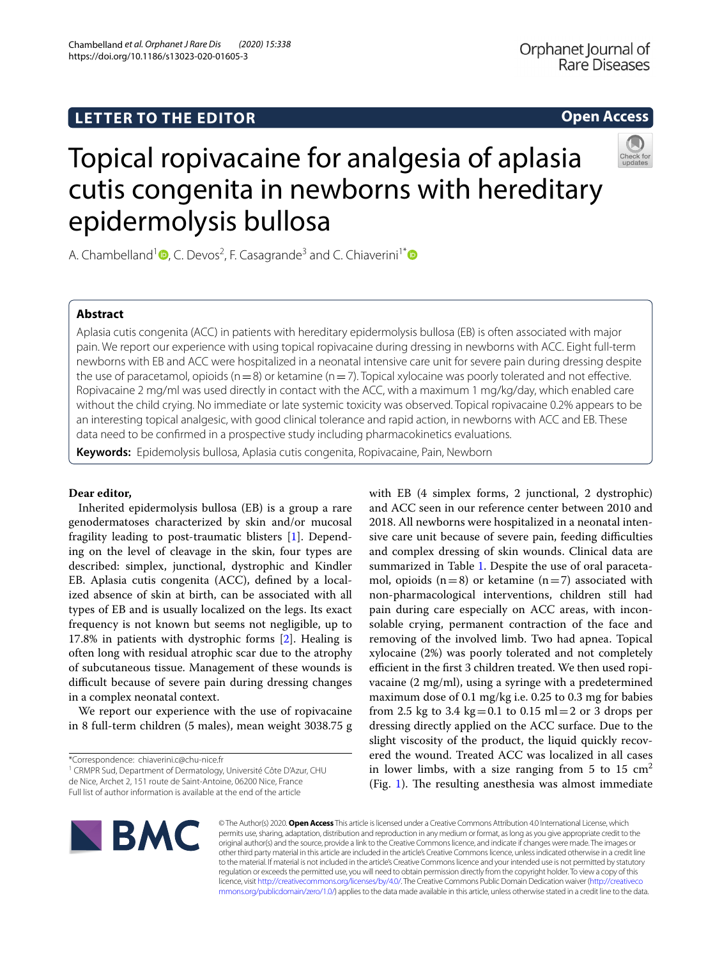# **LETTER TO THE EDITOR**

# **Open Access**



# Topical ropivacaine for analgesia of aplasia cutis congenita in newborns with hereditary epidermolysis bullosa

A. Chambelland<sup>1</sup><sup>®</sup>[,](http://orcid.org/0000-0002-5382-8552) C. Devos<sup>2</sup>, F. Casagrande<sup>3</sup> and C. Chiaverini<sup>1[\\*](http://orcid.org/0000-0002-6063-5409)</sup>

## **Abstract**

Aplasia cutis congenita (ACC) in patients with hereditary epidermolysis bullosa (EB) is often associated with major pain. We report our experience with using topical ropivacaine during dressing in newborns with ACC. Eight full-term newborns with EB and ACC were hospitalized in a neonatal intensive care unit for severe pain during dressing despite the use of paracetamol, opioids ( $n=8$ ) or ketamine ( $n=7$ ). Topical xylocaine was poorly tolerated and not effective. Ropivacaine 2 mg/ml was used directly in contact with the ACC, with a maximum 1 mg/kg/day, which enabled care without the child crying. No immediate or late systemic toxicity was observed. Topical ropivacaine 0.2% appears to be an interesting topical analgesic, with good clinical tolerance and rapid action, in newborns with ACC and EB. These data need to be confrmed in a prospective study including pharmacokinetics evaluations.

**Keywords:** Epidemolysis bullosa, Aplasia cutis congenita, Ropivacaine, Pain, Newborn

## **Dear editor,**

Inherited epidermolysis bullosa (EB) is a group a rare genodermatoses characterized by skin and/or mucosal fragility leading to post-traumatic blisters [\[1](#page-3-0)]. Depending on the level of cleavage in the skin, four types are described: simplex, junctional, dystrophic and Kindler EB. Aplasia cutis congenita (ACC), defned by a localized absence of skin at birth, can be associated with all types of EB and is usually localized on the legs. Its exact frequency is not known but seems not negligible, up to 17.8% in patients with dystrophic forms [[2\]](#page-3-1). Healing is often long with residual atrophic scar due to the atrophy of subcutaneous tissue. Management of these wounds is difficult because of severe pain during dressing changes in a complex neonatal context.

We report our experience with the use of ropivacaine in 8 full-term children (5 males), mean weight 3038.75 g

\*Correspondence: chiaverini.c@chu-nice.fr

<sup>1</sup> CRMPR Sud, Department of Dermatology, Université Côte D'Azur, CHU de Nice, Archet 2, 151 route de Saint-Antoine, 06200 Nice, France Full list of author information is available at the end of the article

with EB (4 simplex forms, 2 junctional, 2 dystrophic) and ACC seen in our reference center between 2010 and 2018. All newborns were hospitalized in a neonatal intensive care unit because of severe pain, feeding difficulties and complex dressing of skin wounds. Clinical data are summarized in Table [1](#page-1-0). Despite the use of oral paracetamol, opioids  $(n=8)$  or ketamine  $(n=7)$  associated with non-pharmacological interventions, children still had pain during care especially on ACC areas, with inconsolable crying, permanent contraction of the face and removing of the involved limb. Two had apnea. Topical xylocaine (2%) was poorly tolerated and not completely efficient in the first 3 children treated. We then used ropivacaine (2 mg/ml), using a syringe with a predetermined maximum dose of 0.1 mg/kg i.e. 0.25 to 0.3 mg for babies from 2.5 kg to 3.4 kg=0.1 to 0.15 ml = 2 or 3 drops per dressing directly applied on the ACC surface. Due to the slight viscosity of the product, the liquid quickly recovered the wound. Treated ACC was localized in all cases in lower limbs, with a size ranging from 5 to 15  $\text{cm}^2$ (Fig. [1](#page-2-0)). The resulting anesthesia was almost immediate



© The Author(s) 2020. **Open Access** This article is licensed under a Creative Commons Attribution 4.0 International License, which permits use, sharing, adaptation, distribution and reproduction in any medium or format, as long as you give appropriate credit to the original author(s) and the source, provide a link to the Creative Commons licence, and indicate if changes were made. The images or other third party material in this article are included in the article's Creative Commons licence, unless indicated otherwise in a credit line to the material. If material is not included in the article's Creative Commons licence and your intended use is not permitted by statutory regulation or exceeds the permitted use, you will need to obtain permission directly from the copyright holder. To view a copy of this licence, visit [http://creativecommons.org/licenses/by/4.0/.](http://creativecommons.org/licenses/by/4.0/) The Creative Commons Public Domain Dedication waiver ([http://creativeco](http://creativecommons.org/publicdomain/zero/1.0/) [mmons.org/publicdomain/zero/1.0/](http://creativecommons.org/publicdomain/zero/1.0/)) applies to the data made available in this article, unless otherwise stated in a credit line to the data.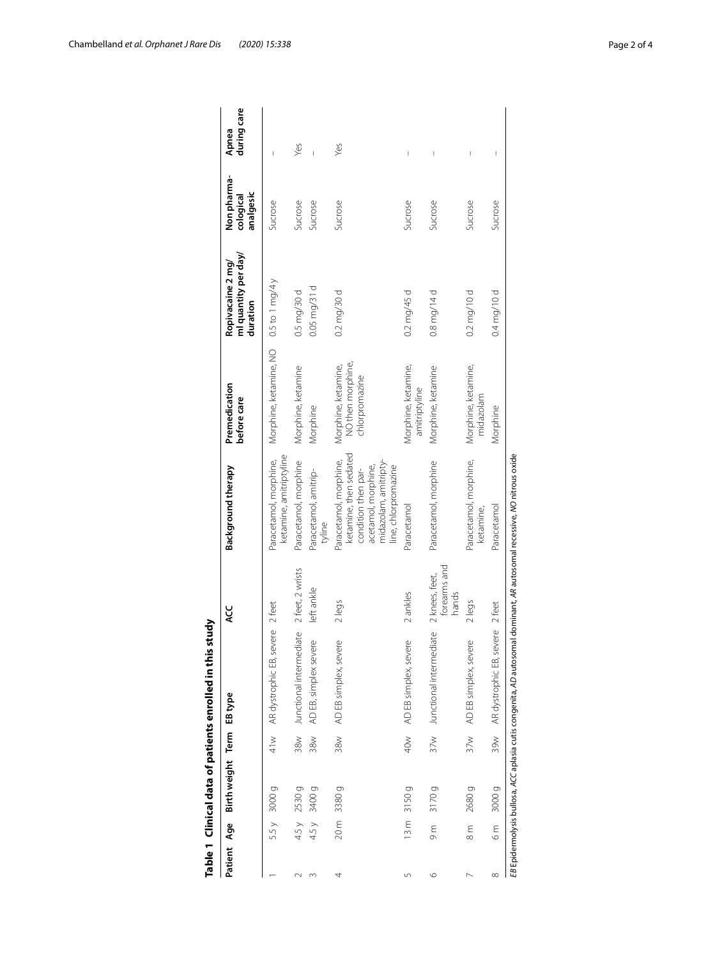|         |               |                   |                 | study<br>Table 1 Clinical data of patients enrolled in this                                                            |                                         |                                                                                                                                                 |                                                            |                                                       |                                       |                      |
|---------|---------------|-------------------|-----------------|------------------------------------------------------------------------------------------------------------------------|-----------------------------------------|-------------------------------------------------------------------------------------------------------------------------------------------------|------------------------------------------------------------|-------------------------------------------------------|---------------------------------------|----------------------|
| Patient | Age           | Birth weight Term |                 | EB type                                                                                                                | š                                       | Background therapy                                                                                                                              | Premedication<br>before care                               | ml quantity per day/<br>Ropivacaine 2 mg/<br>duration | Non pharma-<br>analgesic<br>cological | during care<br>Apnea |
|         |               | 5.5 y 3000 g      |                 | 41w AR dystrophic EB, severe 2 feet                                                                                    |                                         | ketamine, amitriptyline<br>Paracetamol, morphine,                                                                                               | Morphine, ketamine, NO                                     | $0.5$ to 1 mg/4 y                                     | Sucrose                               |                      |
|         |               | 4.5 y 2530 g      | 38 <sub>W</sub> | Junctional intermediate                                                                                                | 2 feet, 2 wrists                        | Paracetamol, morphine                                                                                                                           | Morphine, ketamine                                         | $0.5$ mg/30d                                          | Sucrose                               | Yes                  |
|         | 4.5y          | 3400 g            | 38 <sub>W</sub> | AD EB, simplex severe                                                                                                  | left ankle                              | Paracetamol, amitrip-<br>tvline                                                                                                                 | Morphine                                                   | $0.05$ mg/31 d                                        | Sucrose                               |                      |
|         |               | 20 m 3380 g       | 38 <sub>W</sub> | AD EB simplex, severe                                                                                                  | $2$ legs                                | ketamine, then sedated<br>Paracetamol, morphine,<br>midazolam, amitripty-<br>acetamol, morphine,<br>line, chlorpromazine<br>condition then par- | NO then morphine,<br>Morphine, ketamine,<br>chlorpromazine | $0.2$ mg/30 d                                         | Sucrose                               | Yes                  |
|         |               | 13 m 3150 g       | 40w             | AD EB simplex, severe                                                                                                  | 2 ankles                                | Paracetamol                                                                                                                                     | Morphine, ketamine,<br>amitriptyline                       | $0.2$ mg/45 d                                         | Sucrose                               |                      |
|         | $\frac{6}{9}$ | 3170 g            |                 | 37w Junctional intermediate                                                                                            | forearms and<br>2 knees, feet,<br>hands | Paracetamol, morphine                                                                                                                           | Morphine, ketamine                                         | $0.8$ mg/14d                                          | Sucrose                               |                      |
|         | $\frac{8}{2}$ | 2680 g            | 37w             | AD EB simplex, severe                                                                                                  | 2 legs                                  | Paracetamol, morphine,<br>ketamine,                                                                                                             | Morphine, ketamine,<br>midazolam                           | $0.2$ mg/10d                                          | Sucrose                               |                      |
|         | $\frac{2}{6}$ | 3000g             | 39 <sub>w</sub> | vere<br>AR dystrophic EB, sev                                                                                          | 2 feet                                  | Paracetamol                                                                                                                                     | Morphine                                                   | $0.4$ mg/10d                                          | Sucrose                               |                      |
|         |               |                   |                 | EB Epidermolysis bullosa, ACC aplasia cutis congenita, AD autosomal dominant, AR autosomal recessive, NO nitrous oxide |                                         |                                                                                                                                                 |                                                            |                                                       |                                       |                      |

<span id="page-1-0"></span>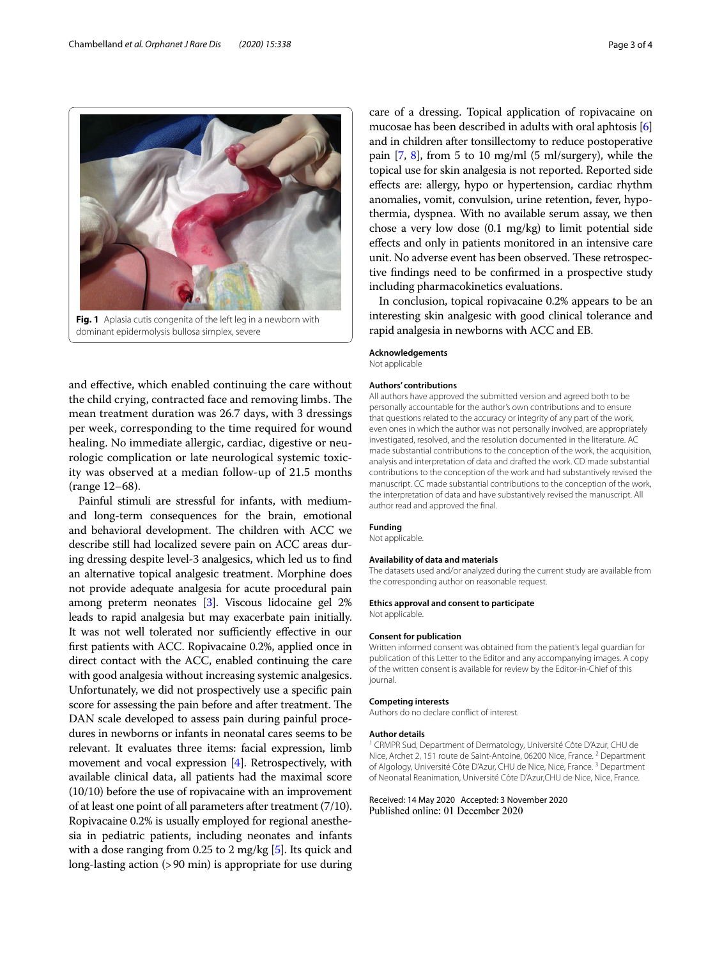<span id="page-2-0"></span>and efective, which enabled continuing the care without the child crying, contracted face and removing limbs. The mean treatment duration was 26.7 days, with 3 dressings per week, corresponding to the time required for wound healing. No immediate allergic, cardiac, digestive or neurologic complication or late neurological systemic toxicity was observed at a median follow-up of 21.5 months (range 12–68).

Painful stimuli are stressful for infants, with mediumand long-term consequences for the brain, emotional and behavioral development. The children with ACC we describe still had localized severe pain on ACC areas during dressing despite level-3 analgesics, which led us to fnd an alternative topical analgesic treatment. Morphine does not provide adequate analgesia for acute procedural pain among preterm neonates [\[3](#page-3-2)]. Viscous lidocaine gel 2% leads to rapid analgesia but may exacerbate pain initially. It was not well tolerated nor sufficiently effective in our frst patients with ACC. Ropivacaine 0.2%, applied once in direct contact with the ACC, enabled continuing the care with good analgesia without increasing systemic analgesics. Unfortunately, we did not prospectively use a specifc pain score for assessing the pain before and after treatment. The DAN scale developed to assess pain during painful procedures in newborns or infants in neonatal cares seems to be relevant. It evaluates three items: facial expression, limb movement and vocal expression [[4](#page-3-3)]. Retrospectively, with available clinical data, all patients had the maximal score (10/10) before the use of ropivacaine with an improvement of at least one point of all parameters after treatment (7/10). Ropivacaine 0.2% is usually employed for regional anesthesia in pediatric patients, including neonates and infants with a dose ranging from 0.25 to 2 mg/kg [[5\]](#page-3-4). Its quick and long-lasting action (>90 min) is appropriate for use during care of a dressing. Topical application of ropivacaine on mucosae has been described in adults with oral aphtosis [[6](#page-3-5)] and in children after tonsillectomy to reduce postoperative pain  $[7, 8]$  $[7, 8]$  $[7, 8]$  $[7, 8]$ , from 5 to 10 mg/ml (5 ml/surgery), while the topical use for skin analgesia is not reported. Reported side efects are: allergy, hypo or hypertension, cardiac rhythm anomalies, vomit, convulsion, urine retention, fever, hypothermia, dyspnea. With no available serum assay, we then chose a very low dose (0.1 mg/kg) to limit potential side efects and only in patients monitored in an intensive care unit. No adverse event has been observed. These retrospective fndings need to be confrmed in a prospective study including pharmacokinetics evaluations.

In conclusion, topical ropivacaine 0.2% appears to be an interesting skin analgesic with good clinical tolerance and rapid analgesia in newborns with ACC and EB.

#### **Acknowledgements**

Not applicable

#### **Authors' contributions**

All authors have approved the submitted version and agreed both to be personally accountable for the author's own contributions and to ensure that questions related to the accuracy or integrity of any part of the work, even ones in which the author was not personally involved, are appropriately investigated, resolved, and the resolution documented in the literature. AC made substantial contributions to the conception of the work, the acquisition, analysis and interpretation of data and drafted the work. CD made substantial contributions to the conception of the work and had substantively revised the manuscript. CC made substantial contributions to the conception of the work, the interpretation of data and have substantively revised the manuscript. All author read and approved the fnal.

### **Funding**

Not applicable.

#### **Availability of data and materials**

The datasets used and/or analyzed during the current study are available from the corresponding author on reasonable request.

#### **Ethics approval and consent to participate** Not applicable.

**Consent for publication**

Written informed consent was obtained from the patient's legal guardian for publication of this Letter to the Editor and any accompanying images. A copy of the written consent is available for review by the Editor-in-Chief of this journal.

#### **Competing interests**

Authors do no declare confict of interest.

#### **Author details**

<sup>1</sup> CRMPR Sud, Department of Dermatology, Université Côte D'Azur, CHU de Nice, Archet 2, 151 route de Saint-Antoine, 06200 Nice, France. <sup>2</sup> Department of Algology, Université Côte D'Azur, CHU de Nice, Nice, France. 3 Department of Neonatal Reanimation, Université Côte D'Azur,CHU de Nice, Nice, France.

Received: 14 May 2020 Accepted: 3 November 2020